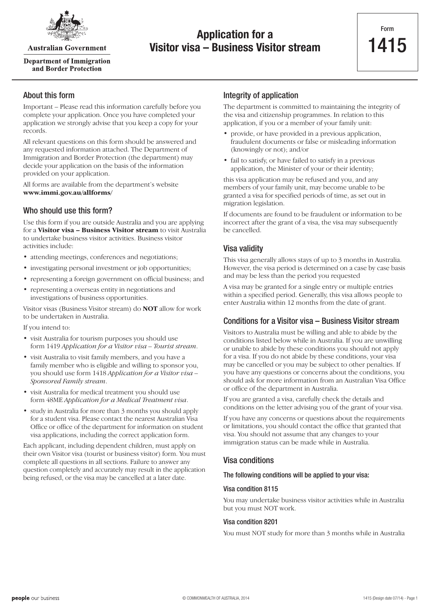

**Australian Government** 

**Department of Immigration** and Border Protection

## **Application for a Visitor visa – Business Visitor stream**

## About this form

Important – Please read this information carefully before you complete your application. Once you have completed your application we strongly advise that you keep a copy for your records.

All relevant questions on this form should be answered and any requested information attached. The Department of Immigration and Border Protection (the department) may decide your application on the basis of the information provided on your application.

All forms are available from the department's website **www.immi.gov.au/allforms/**

## Who should use this form?

Use this form if you are outside Australia and you are applying for a **Visitor visa – Business Visitor stream** to visit Australia to undertake business visitor activities. Business visitor activities include:

- attending meetings, conferences and negotiations;
- investigating personal investment or job opportunities;
- representing a foreign government on official business; and
- • representing a overseas entity in negotiations and investigations of business opportunities.

Visitor visas (Business Visitor stream) do **NOT** allow for work to be undertaken in Australia.

If you intend to:

- visit Australia for tourism purposes you should use form 1419 *Application for a Visitor visa – Tourist stream*.
- • visit Australia to visit family members, and you have a family member who is eligible and willing to sponsor you, you should use form 1418 *Application for a Visitor visa – Sponsored Family stream*.
- visit Australia for medical treatment you should use form 48ME *Application for a Medical Treatment visa*.
- study in Australia for more than 3 months you should apply for a student visa. Please contact the nearest Australian Visa Office or office of the department for information on student visa applications, including the correct application form.

Each applicant, including dependent children, must apply on their own Visitor visa (tourist or business visitor) form. You must complete all questions in all sections. Failure to answer any question completely and accurately may result in the application being refused, or the visa may be cancelled at a later date.

## Integrity of application

The department is committed to maintaining the integrity of the visa and citizenship programmes. In relation to this application, if you or a member of your family unit:

- provide, or have provided in a previous application, fraudulent documents or false or misleading information (knowingly or not); and/or
- fail to satisfy, or have failed to satisfy in a previous application, the Minister of your or their identity;

this visa application may be refused and you, and any members of your family unit, may become unable to be granted a visa for specified periods of time, as set out in migration legislation.

If documents are found to be fraudulent or information to be incorrect after the grant of a visa, the visa may subsequently be cancelled.

### Visa validity

This visa generally allows stays of up to 3 months in Australia. However, the visa period is determined on a case by case basis and may be less than the period you requested

A visa may be granted for a single entry or multiple entries within a specified period. Generally, this visa allows people to enter Australia within 12 months from the date of grant.

## Conditions for a Visitor visa – Business Visitor stream

Visitors to Australia must be willing and able to abide by the conditions listed below while in Australia. If you are unwilling or unable to abide by these conditions you should not apply for a visa. If you do not abide by these conditions, your visa may be cancelled or you may be subject to other penalties. If you have any questions or concerns about the conditions, you should ask for more information from an Australian Visa Office or office of the department in Australia.

If you are granted a visa, carefully check the details and conditions on the letter advising you of the grant of your visa.

If you have any concerns or questions about the requirements or limitations, you should contact the office that granted that visa. You should not assume that any changes to your immigration status can be made while in Australia.

### Visa conditions

#### The following conditions will be applied to your visa:

#### Visa condition 8115

You may undertake business visitor activities while in Australia but you must NOT work.

#### Visa condition 8201

You must NOT study for more than 3 months while in Australia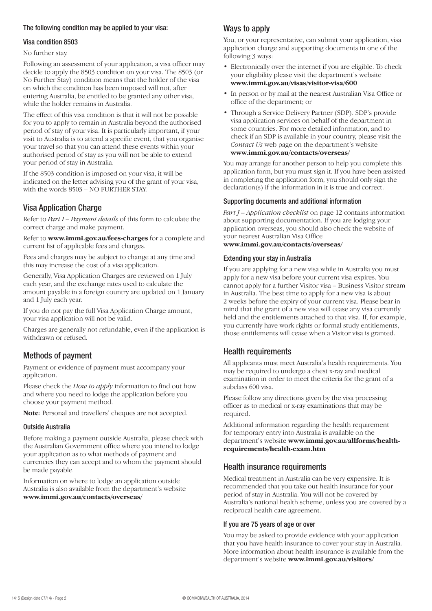#### The following condition may be applied to your visa:

#### Visa condition 8503

No further stay.

Following an assessment of your application, a visa officer may decide to apply the 8503 condition on your visa. The 8503 (or No Further Stay) condition means that the holder of the visa on which the condition has been imposed will not, after entering Australia, be entitled to be granted any other visa, while the holder remains in Australia.

The effect of this visa condition is that it will not be possible for you to apply to remain in Australia beyond the authorised period of stay of your visa. It is particularly important, if your visit to Australia is to attend a specific event, that you organise your travel so that you can attend these events within your authorised period of stay as you will not be able to extend your period of stay in Australia.

If the 8503 condition is imposed on your visa, it will be indicated on the letter advising you of the grant of your visa, with the words 8503 – NO FURTHER STAY.

## Visa Application Charge

Refer to *Part I – Payment details* of this form to calculate the correct charge and make payment.

Refer to **www.immi.gov.au/fees-charges** for a complete and current list of applicable fees and charges.

Fees and charges may be subject to change at any time and this may increase the cost of a visa application.

Generally, Visa Application Charges are reviewed on 1 July each year, and the exchange rates used to calculate the amount payable in a foreign country are updated on 1 January and 1 July each year.

If you do not pay the full Visa Application Charge amount, your visa application will not be valid.

Charges are generally not refundable, even if the application is withdrawn or refused.

## Methods of payment

Payment or evidence of payment must accompany your application.

Please check the *How to apply* information to find out how and where you need to lodge the application before you choose your payment method.

**Note**: Personal and travellers' cheques are not accepted.

#### Outside Australia

Before making a payment outside Australia, please check with the Australian Government office where you intend to lodge your application as to what methods of payment and currencies they can accept and to whom the payment should be made payable.

Information on where to lodge an application outside Australia is also available from the department's website **www.immi.gov.au/contacts/overseas/**

## Ways to apply

You, or your representative, can submit your application, visa application charge and supporting documents in one of the following 3 ways:

- Electronically over the internet if you are eligible. To check your eligibility please visit the department's website **www.immi.gov.au/visas/visitor-visa/600**
- In person or by mail at the nearest Australian Visa Office or office of the department; or
- Through a Service Delivery Partner (SDP). SDP's provide visa application services on behalf of the department in some countries. For more detailed information, and to check if an SDP is available in your country, please visit the *Contact Us* web page on the department's website **www.immi.gov.au/contacts/overseas/**

You may arrange for another person to help you complete this application form, but you must sign it. If you have been assisted in completing the application form, you should only sign the declaration(s) if the information in it is true and correct.

#### Supporting documents and additional information

*Part J – Application checklist* on page 12 contains information about supporting documentation. If you are lodging your application overseas, you should also check the website of your nearest Australian Visa Office **www.immi.gov.au/contacts/overseas/**

#### Extending your stay in Australia

If you are applying for a new visa while in Australia you must apply for a new visa before your current visa expires. You cannot apply for a further Visitor visa – Business Visitor stream in Australia. The best time to apply for a new visa is about 2 weeks before the expiry of your current visa. Please bear in mind that the grant of a new visa will cease any visa currently held and the entitlements attached to that visa. If, for example, you currently have work rights or formal study entitlements, those entitlements will cease when a Visitor visa is granted.

## Health requirements

All applicants must meet Australia's health requirements. You may be required to undergo a chest x-ray and medical examination in order to meet the criteria for the grant of a subclass 600 visa.

Please follow any directions given by the visa processing officer as to medical or x-ray examinations that may be required.

Additional information regarding the health requirement for temporary entry into Australia is available on the department's website **www.immi.gov.au/allforms/healthrequirements/health-exam.htm**

### Health insurance requirements

Medical treatment in Australia can be very expensive. It is recommended that you take out health insurance for your period of stay in Australia. You will not be covered by Australia's national health scheme, unless you are covered by a reciprocal health care agreement.

#### If you are 75 years of age or over

You may be asked to provide evidence with your application that you have health insurance to cover your stay in Australia. More information about health insurance is available from the department's website **www.immi.gov.au/visitors/**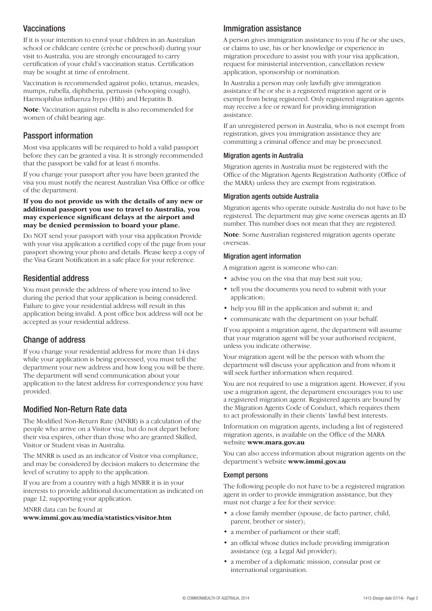## **Vaccinations**

If it is your intention to enrol your children in an Australian school or childcare centre (crèche or preschool) during your visit to Australia, you are strongly encouraged to carry certification of your child's vaccination status. Certification may be sought at time of enrolment.

Vaccination is recommended against polio, tetanus, measles, mumps, rubella, diphtheria, pertussis (whooping cough), Haemophilus influenza hypo (Hib) and Hepatitis B.

**Note**: Vaccination against rubella is also recommended for women of child bearing age.

## Passport information

Most visa applicants will be required to hold a valid passport before they can be granted a visa. It is strongly recommended that the passport be valid for at least 6 months.

If you change your passport after you have been granted the visa you must notify the nearest Australian Visa Office or office of the department.

#### **If you do not provide us with the details of any new or additional passport you use to travel to Australia, you may experience significant delays at the airport and may be denied permission to board your plane.**

Do NOT send your passport with your visa application Provide with your visa application a certified copy of the page from your passport showing your photo and details. Please keep a copy of the Visa Grant Notification in a safe place for your reference.

### Residential address

You must provide the address of where you intend to live during the period that your application is being considered. Failure to give your residential address will result in this application being invalid. A post office box address will not be accepted as your residential address.

## Change of address

If you change your residential address for more than 14 days while your application is being processed, you must tell the department your new address and how long you will be there. The department will send communication about your application to the latest address for correspondence you have provided.

### Modified Non-Return Rate data

The Modified Non-Return Rate (MNRR) is a calculation of the people who arrive on a Visitor visa, but do not depart before their visa expires, other than those who are granted Skilled, Visitor or Student visas in Australia.

The MNRR is used as an indicator of Visitor visa compliance, and may be considered by decision makers to determine the level of scrutiny to apply to the application.

If you are from a country with a high MNRR it is in your interests to provide additional documentation as indicated on page 12, supporting your application.

MNRR data can be found at

**www.immi.gov.au/media/statistics/visitor.htm**

## Immigration assistance

A person gives immigration assistance to you if he or she uses, or claims to use, his or her knowledge or experience in migration procedure to assist you with your visa application, request for ministerial intervention, cancellation review application, sponsorship or nomination.

In Australia a person may only lawfully give immigration assistance if he or she is a registered migration agent or is exempt from being registered. Only registered migration agents may receive a fee or reward for providing immigration assistance.

If an unregistered person in Australia, who is not exempt from registration, gives you immigration assistance they are committing a criminal offence and may be prosecuted.

#### Migration agents in Australia

Migration agents in Australia must be registered with the Office of the Migration Agents Registration Authority (Office of the MARA) unless they are exempt from registration.

#### Migration agents outside Australia

Migration agents who operate outside Australia do not have to be registered. The department may give some overseas agents an ID number. This number does not mean that they are registered.

**Note**: Some Australian registered migration agents operate overseas.

#### Migration agent information

A migration agent is someone who can:

- advise you on the visa that may best suit you;
- tell you the documents you need to submit with your application;
- help you fill in the application and submit it; and
- • communicate with the department on your behalf.

If you appoint a migration agent, the department will assume that your migration agent will be your authorised recipient, unless you indicate otherwise.

Your migration agent will be the person with whom the department will discuss your application and from whom it will seek further information when required.

You are not required to use a migration agent. However, if you use a migration agent, the department encourages you to use a registered migration agent. Registered agents are bound by the Migration Agents Code of Conduct, which requires them to act professionally in their clients' lawful best interests.

Information on migration agents, including a list of registered migration agents, is available on the Office of the MARA website **www.mara.gov.au**

You can also access information about migration agents on the department's website **www.immi.gov.au**

#### Exempt persons

The following people do not have to be a registered migration agent in order to provide immigration assistance, but they must not charge a fee for their service:

- a close family member (spouse, de facto partner, child, parent, brother or sister);
- a member of parliament or their staff;
- an official whose duties include providing immigration assistance (eg. a Legal Aid provider);
- a member of a diplomatic mission, consular post or international organisation.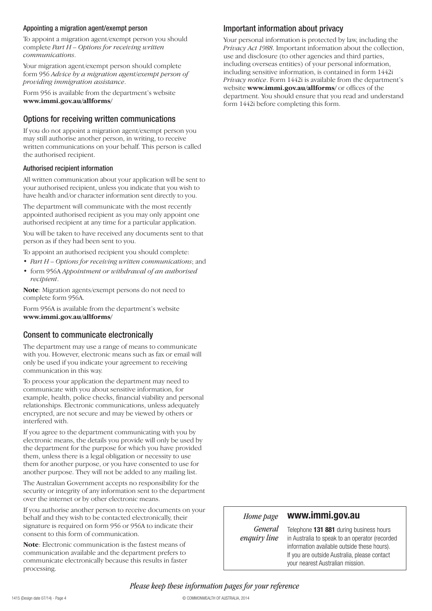#### Appointing a migration agent/exempt person

To appoint a migration agent/exempt person you should complete *Part H – Options for receiving written communications*.

Your migration agent/exempt person should complete form 956 *Advice by a migration agent/exempt person of providing immigration assistance*.

Form 956 is available from the department's website **www.immi.gov.au/allforms/**

### Options for receiving written communications

If you do not appoint a migration agent/exempt person you may still authorise another person, in writing, to receive written communications on your behalf. This person is called the authorised recipient.

#### Authorised recipient information

All written communication about your application will be sent to your authorised recipient, unless you indicate that you wish to have health and/or character information sent directly to you.

The department will communicate with the most recently appointed authorised recipient as you may only appoint one authorised recipient at any time for a particular application.

You will be taken to have received any documents sent to that person as if they had been sent to you.

To appoint an authorised recipient you should complete:

- • *Part H Options for receiving written communications*; and
- • form 956A *Appointment or withdrawal of an authorised recipient*.

**Note**: Migration agents/exempt persons do not need to complete form 956A.

Form 956A is available from the department's website **www.immi.gov.au/allforms/**

#### Consent to communicate electronically

The department may use a range of means to communicate with you. However, electronic means such as fax or email will only be used if you indicate your agreement to receiving communication in this way.

To process your application the department may need to communicate with you about sensitive information, for example, health, police checks, financial viability and personal relationships. Electronic communications, unless adequately encrypted, are not secure and may be viewed by others or interfered with.

If you agree to the department communicating with you by electronic means, the details you provide will only be used by the department for the purpose for which you have provided them, unless there is a legal obligation or necessity to use them for another purpose, or you have consented to use for another purpose. They will not be added to any mailing list.

The Australian Government accepts no responsibility for the security or integrity of any information sent to the department over the internet or by other electronic means.

If you authorise another person to receive documents on your behalf and they wish to be contacted electronically, their signature is required on form 956 or 956A to indicate their consent to this form of communication.

**Note**: Electronic communication is the fastest means of communication available and the department prefers to communicate electronically because this results in faster processing.

### Important information about privacy

Your personal information is protected by law, including the *Privacy Act 1988*. Important information about the collection, use and disclosure (to other agencies and third parties, including overseas entities) of your personal information, including sensitive information, is contained in form 1442i *Privacy notice*. Form 1442i is available from the department's website **www.immi.gov.au/allforms/** or offices of the department. You should ensure that you read and understand form 1442i before completing this form.

## *Home page*

## **www.immi.gov.au**

*General enquiry line*

Telephone **131 881** during business hours in Australia to speak to an operator (recorded information available outside these hours). If you are outside Australia, please contact your nearest Australian mission.

*Please keep these information pages for your reference*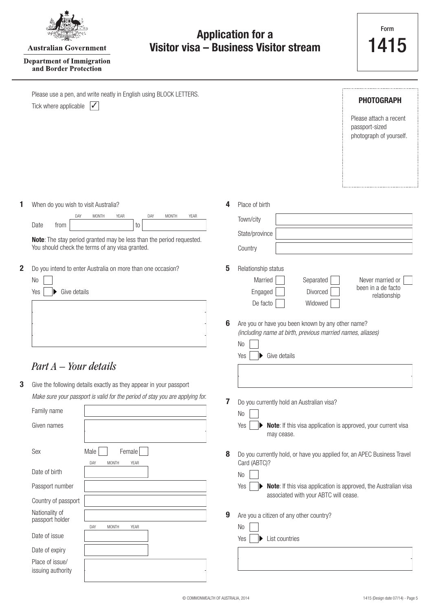|--|

**Australian Government** 

#### **Department of Immigration** and Border Protection

|             | Please use a pen, and write neatly in English using BLOCK LETTERS.<br>Tick where applicable<br>$\boldsymbol{\mathcal{U}}$                                                                                                                           |        | <b>PHOTOGRAPH</b><br>Please attach a recent<br>passport-sized<br>photograph of yourself.                                                                                                                                                                                                                        |
|-------------|-----------------------------------------------------------------------------------------------------------------------------------------------------------------------------------------------------------------------------------------------------|--------|-----------------------------------------------------------------------------------------------------------------------------------------------------------------------------------------------------------------------------------------------------------------------------------------------------------------|
| 1           | When do you wish to visit Australia?<br>DAY<br>MONTH<br><b>YEAR</b><br>DAY<br><b>MONTH</b><br>YEAR<br>Date<br>from<br>to<br>Note: The stay period granted may be less than the period requested.<br>You should check the terms of any visa granted. | 4      | Place of birth<br>Town/city<br>State/province<br>Country                                                                                                                                                                                                                                                        |
| $\mathbf 2$ | Do you intend to enter Australia on more than one occasion?<br>No<br>Give details<br>Yes<br>$Part A - Your details$                                                                                                                                 | 5<br>6 | Relationship status<br>Married<br>Separated<br>Never married or<br>been in a de facto<br>Divorced<br>Engaged<br>relationship<br>De facto<br>Widowed<br>Are you or have you been known by any other name?<br>(including name at birth, previous married names, aliases)<br>N <sub>0</sub><br>Give details<br>Yes |
| 3           | Give the following details exactly as they appear in your passport<br>Make sure your passport is valid for the period of stay you are applying for.<br>Family name<br>Given names                                                                   | 7      | Do you currently hold an Australian visa?<br>N <sub>0</sub><br>Note: If this visa application is approved, your current visa<br>Yes<br>may cease.                                                                                                                                                               |
|             | Male<br>Female<br>Sex<br>DAY<br><b>MONTH</b><br>YEAR<br>Date of birth<br>Passport number<br>Country of passport                                                                                                                                     | 8      | Do you currently hold, or have you applied for, an APEC Business Travel<br>Card (ABTC)?<br>N <sub>0</sub><br>Note: If this visa application is approved, the Australian visa<br>Yes<br>associated with your ABTC will cease.                                                                                    |
|             | Nationality of<br>passport holder<br><b>MONTH</b><br>DAY<br>YEAR<br>Date of issue<br>Date of expiry<br>Place of issue/<br>issuing authority                                                                                                         | 9      | Are you a citizen of any other country?<br>N <sub>0</sub><br>List countries<br>Yes                                                                                                                                                                                                                              |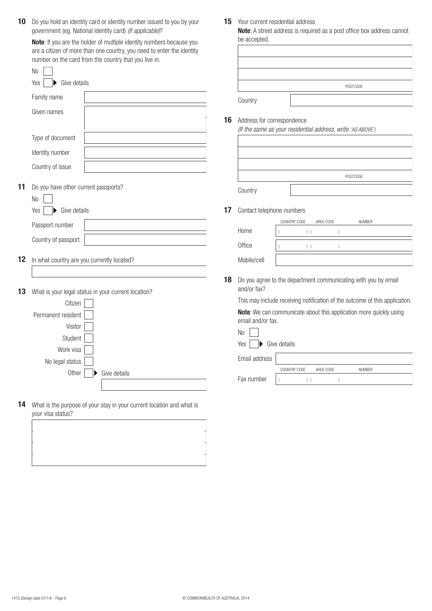10 Do you hold an identity card or identity number issued to you by your government (eg. National identity card) *(if applicable)*?

**Note**: If you are the holder of multiple identity numbers because you are a citizen of more than one country, you need to enter the identity number on the card from the country that you live in.  $\overline{\phantom{0}}$ 

|    | N <sub>0</sub>                                         |                                                     |                           |
|----|--------------------------------------------------------|-----------------------------------------------------|---------------------------|
|    | Give details<br>Yes                                    |                                                     |                           |
|    | Family name                                            |                                                     | Country                   |
|    | Given names                                            |                                                     |                           |
|    |                                                        | 16                                                  | Address fo<br>(If the sam |
|    | Type of document                                       |                                                     |                           |
|    | Identity number                                        |                                                     |                           |
|    | Country of issue                                       |                                                     |                           |
| 11 |                                                        |                                                     |                           |
|    | Do you have other current passports?<br>N <sub>o</sub> |                                                     | Country                   |
|    | Give details<br>Yes                                    | 17                                                  | Contact tel               |
|    | Passport number                                        |                                                     |                           |
|    | Country of passport                                    |                                                     | Home                      |
|    |                                                        |                                                     | Office                    |
| 12 | In what country are you currently located?             |                                                     | Mobile/cell               |
|    |                                                        | 18                                                  | Do you agr                |
| 13 |                                                        | What is your legal status in your current location? | and/or fax                |
|    | Citizen                                                |                                                     | This may in               |
|    | Permanent resident                                     |                                                     | Note: We o<br>email and/  |
|    | Visitor                                                |                                                     | N <sub>o</sub>            |
|    | Student                                                |                                                     | Yes<br>▶                  |
|    | Work visa                                              |                                                     |                           |
|    | No legal status                                        |                                                     | Email addr                |
|    | Other                                                  | Give details                                        | Fax numbe                 |
|    |                                                        |                                                     |                           |

**14** What is the purpose of your stay in your current location and what is your visa status?

15 Your current residential address

**Note**: A street address is required as a post office box address cannot be accepted.

|         | POSTCODE |
|---------|----------|
|         |          |
| Country |          |

#### **16** Address for correspondence

*(If the same as your residential address, write 'AS ABOVE')*

|         | POSTCODE |
|---------|----------|
| Country |          |

**17** Contact telephone numbers

|             | COUNTRY CODE | AREA CODE | <b>NUMBER</b> |
|-------------|--------------|-----------|---------------|
| Home        |              |           |               |
| Office      |              |           |               |
| Mobile/cell |              |           |               |

18 Do you agree to the department communicating with you by email and/or fax?

This may include receiving notification of the outcome of this application.

**Note**: We can communicate about this application more quickly using email and/or fax.

| No                                        |              |           |  |               |  |  |  |  |  |  |
|-------------------------------------------|--------------|-----------|--|---------------|--|--|--|--|--|--|
| Yes<br>$\blacktriangleright$ Give details |              |           |  |               |  |  |  |  |  |  |
| Email address                             |              |           |  |               |  |  |  |  |  |  |
|                                           | COUNTRY CODE | AREA CODE |  | <b>NUMBER</b> |  |  |  |  |  |  |
| Fax number                                |              |           |  |               |  |  |  |  |  |  |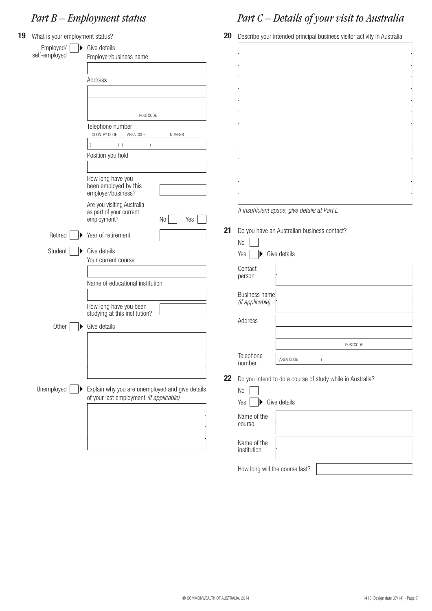# *Part B – Employment status*

| 19 | What is your employment status?  |                                                                            |               | 20 |                                                           |              | Describe your intended principal business visitor activity in Australia |  |  |
|----|----------------------------------|----------------------------------------------------------------------------|---------------|----|-----------------------------------------------------------|--------------|-------------------------------------------------------------------------|--|--|
|    | Employed/<br>D.<br>self-employed | Give details<br>Employer/business name                                     |               |    |                                                           |              |                                                                         |  |  |
|    |                                  | Address                                                                    |               |    |                                                           |              |                                                                         |  |  |
|    |                                  |                                                                            |               |    |                                                           |              |                                                                         |  |  |
|    |                                  | POSTCODE                                                                   |               |    |                                                           |              |                                                                         |  |  |
|    |                                  | Telephone number                                                           |               |    |                                                           |              |                                                                         |  |  |
|    |                                  | COUNTRY CODE<br>AREA CODE                                                  | <b>NUMBER</b> |    |                                                           |              |                                                                         |  |  |
|    |                                  | ) (<br>$\big)$                                                             |               |    |                                                           |              |                                                                         |  |  |
|    |                                  | Position you hold                                                          |               |    |                                                           |              |                                                                         |  |  |
|    |                                  |                                                                            |               |    |                                                           |              |                                                                         |  |  |
|    |                                  | How long have you<br>been employed by this<br>employer/business?           |               |    |                                                           |              |                                                                         |  |  |
|    | Retired                          | Are you visiting Australia<br>as part of your current<br>employment?<br>No | Yes           |    | If insufficient space, give details at Part L             |              |                                                                         |  |  |
|    |                                  | Year of retirement                                                         |               | 21 | Do you have an Australian business contact?<br>$\rm No$   |              |                                                                         |  |  |
|    | Student                          | Give details<br>Your current course                                        |               |    | Yes                                                       | Give details |                                                                         |  |  |
|    |                                  | Name of educational institution                                            |               |    | Contact<br>person                                         |              |                                                                         |  |  |
|    |                                  |                                                                            |               |    | <b>Business name</b>                                      |              |                                                                         |  |  |
|    |                                  | How long have you been<br>studying at this institution?                    |               |    | (if applicable)                                           |              |                                                                         |  |  |
|    |                                  |                                                                            |               |    | Address                                                   |              |                                                                         |  |  |
|    | Other                            | Give details                                                               |               |    |                                                           |              |                                                                         |  |  |
|    |                                  |                                                                            |               |    |                                                           |              | POSTCODE                                                                |  |  |
|    |                                  |                                                                            |               |    | Telephone<br>number                                       | (AREA CODE   |                                                                         |  |  |
|    |                                  |                                                                            |               | 22 | Do you intend to do a course of study while in Australia? |              |                                                                         |  |  |
|    | Unemployed                       | Explain why you are unemployed and give details                            |               |    | $\rm No$                                                  |              |                                                                         |  |  |
|    |                                  | of your last employment (if applicable)                                    |               |    | Yes                                                       | Give details |                                                                         |  |  |
|    |                                  |                                                                            |               |    | Name of the<br>course                                     |              |                                                                         |  |  |
|    |                                  |                                                                            |               |    | Name of the<br>institution                                |              |                                                                         |  |  |
|    |                                  |                                                                            |               |    | How long will the course last?                            |              |                                                                         |  |  |

# *Part C – Details of your visit to Australia*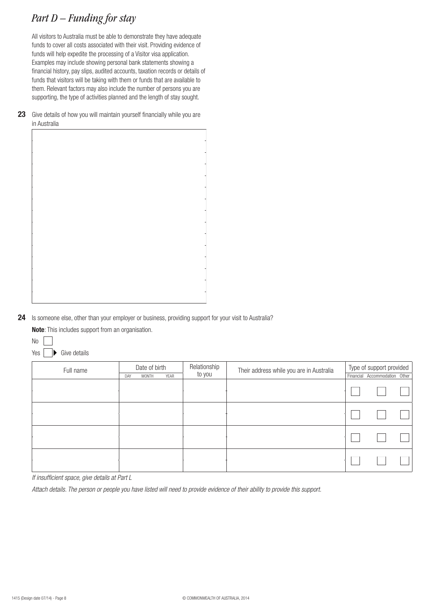# *Part D – Funding for stay*

All visitors to Australia must be able to demonstrate they have adequate funds to cover all costs associated with their visit. Providing evidence of funds will help expedite the processing of a Visitor visa application. Examples may include showing personal bank statements showing a financial history, pay slips, audited accounts, taxation records or details of funds that visitors will be taking with them or funds that are available to them. Relevant factors may also include the number of persons you are supporting, the type of activities planned and the length of stay sought.

**23** Give details of how you will maintain yourself financially while you are in Australia

24 Is someone else, other than your employer or business, providing support for your visit to Australia?

**Note**: This includes support from an organisation.



| Full name | Date of birth |       |      | Relationship | Their address while you are in Australia | Type of support provided |                               |  |
|-----------|---------------|-------|------|--------------|------------------------------------------|--------------------------|-------------------------------|--|
|           | DAY           | MONTH | YEAR | to you       |                                          |                          | Financial Accommodation Other |  |
|           |               |       |      |              |                                          |                          |                               |  |
|           |               |       |      |              |                                          |                          |                               |  |
|           |               |       |      |              |                                          |                          |                               |  |
|           |               |       |      |              |                                          |                          |                               |  |

*If insufficient space, give details at Part L*

*Attach details. The person or people you have listed will need to provide evidence of their ability to provide this support.*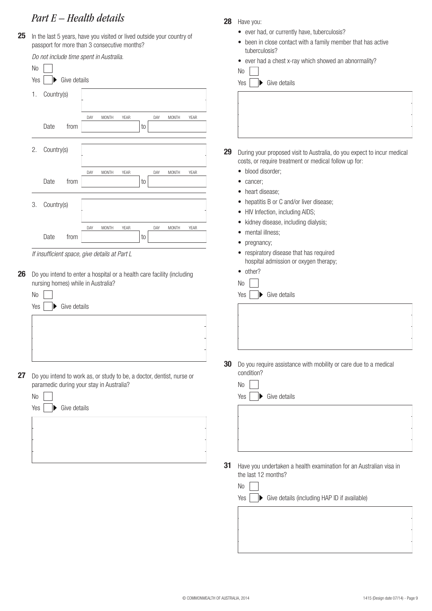## *Part E – Health details*

25 In the last 5 years, have you visited or lived outside your country of passport for more than 3 consecutive months?

| Do not include time spent in Australia.                                | tuberculosis?                                                                 |
|------------------------------------------------------------------------|-------------------------------------------------------------------------------|
|                                                                        | ever had a chest x-ray which showed an abnormality?<br>$\bullet$              |
| No                                                                     | No                                                                            |
| Give details<br>Yes                                                    | Yes<br>Give details                                                           |
| Country(s)<br>1.                                                       |                                                                               |
|                                                                        |                                                                               |
| DAY<br><b>MONTH</b><br>YEAR<br>DAY<br><b>MONTH</b><br>YEAR             |                                                                               |
| Date<br>from<br>to                                                     |                                                                               |
|                                                                        |                                                                               |
| Country(s)<br>2.                                                       |                                                                               |
|                                                                        | 29<br>During your proposed visit to Australia, do you expect to incur medical |
|                                                                        | costs, or require treatment or medical follow up for:                         |
| DAY<br><b>MONTH</b><br>YEAR<br>DAY<br><b>MONTH</b><br>YEAR             | · blood disorder;                                                             |
| Date<br>from<br>to                                                     | cancer;<br>٠<br>heart disease;                                                |
|                                                                        | $\bullet$                                                                     |
| 3.<br>Country(s)                                                       | hepatitis B or C and/or liver disease;<br>$\bullet$                           |
|                                                                        | HIV Infection, including AIDS;<br>$\bullet$                                   |
| DAY<br>MONTH<br>YEAR<br>DAY<br><b>MONTH</b><br>YEAR                    | kidney disease, including dialysis;<br>٠                                      |
| Date<br>from<br>to                                                     | mental illness;<br>$\bullet$                                                  |
|                                                                        | pregnancy;<br>٠                                                               |
| If insufficient space, give details at Part L                          | • respiratory disease that has required                                       |
|                                                                        | hospital admission or oxygen therapy;<br>• other?                             |
| Do you intend to enter a hospital or a health care facility (including |                                                                               |
| nursing homes) while in Australia?                                     | N <sub>0</sub>                                                                |
| N <sub>0</sub>                                                         | Give details<br>Yes                                                           |
| Give details<br>Yes                                                    |                                                                               |
|                                                                        |                                                                               |
|                                                                        |                                                                               |
|                                                                        |                                                                               |
|                                                                        |                                                                               |
|                                                                        |                                                                               |
|                                                                        | 30<br>Do you require assistance with mobility or care due to a medical        |
| Do you intend to work as, or study to be, a doctor, dentist, nurse or  | condition?                                                                    |
| paramedic during your stay in Australia?                               | No                                                                            |
| No                                                                     | Yes<br>Give details                                                           |
| Give details<br>Yes                                                    |                                                                               |
|                                                                        |                                                                               |
|                                                                        |                                                                               |
|                                                                        |                                                                               |
|                                                                        |                                                                               |
|                                                                        |                                                                               |
|                                                                        | 31<br>Have you undertaken a health examination for an Australian visa in      |
|                                                                        | the last 12 months?                                                           |
|                                                                        | No                                                                            |
|                                                                        |                                                                               |
|                                                                        | Give details (including HAP ID if available)<br>Yes<br>▶                      |
|                                                                        |                                                                               |
|                                                                        |                                                                               |

**28** Have you:

• ever had, or currently have, tuberculosis?

• been in close contact with a family member that has active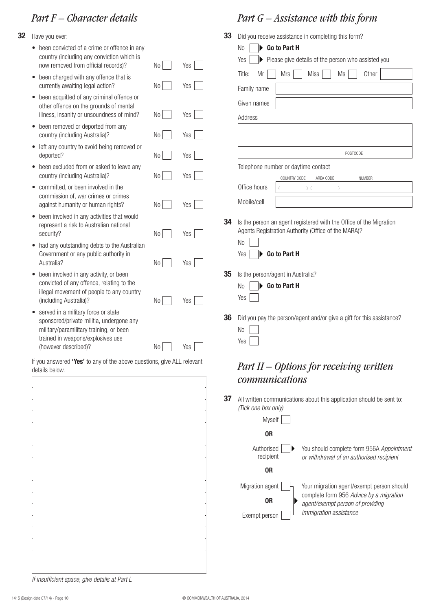## *Part F – Character details*

- **32** Have you ever:
	- been convicted of a crime or offence in any country (including any conviction which is now removed from official records)?
	- been charged with any offence that is currently awaiting legal action?
	- been acquitted of any criminal offence or other offence on the grounds of mental illness, insanity or unsoundness of mind?
	- been removed or deported from any country (including Australia)?
	- left any country to avoid being removed or deported?
	- been excluded from or asked to leave any country (including Australia)?
	- committed, or been involved in the commission of, war crimes or crimes against humanity or human rights?
	- been involved in any activities that would represent a risk to Australian national security?
	- had any outstanding debts to the Australian Government or any public authority in Australia?
	- been involved in any activity, or been convicted of any offence, relating to the illegal movement of people to any country (including Australia)?
	- served in a military force or state sponsored/private militia, undergone any military/paramilitary training, or been trained in weapons/explosives use (however described)? No No Yes

If you answered "Yes' to any of the above questions, give ALL relevant details below.

## *Part G – Assistance with this form*

|                       |     | 33 | Did you receive assistance in completing this form?                  |
|-----------------------|-----|----|----------------------------------------------------------------------|
|                       |     |    | Go to Part H<br>No                                                   |
| No                    | Yes |    | Please give details of the person who assisted you<br>Yes            |
| No                    | Yes |    | Title:<br>Mr<br><b>Mrs</b><br>Miss<br>Ms<br>Other<br>Family name     |
|                       |     |    |                                                                      |
|                       |     |    | Given names                                                          |
| No                    | Yes |    | Address                                                              |
| No                    | Yes |    |                                                                      |
| No                    | Yes |    | POSTCODE                                                             |
|                       |     |    | Telephone number or daytime contact                                  |
| No                    | Yes |    | COUNTRY CODE<br>AREA CODE<br><b>NUMBER</b><br>Office hours           |
|                       |     |    | $)$ (<br>$\lambda$                                                   |
| No                    | Yes |    | Mobile/cell                                                          |
|                       |     | 34 | Is the person an agent registered with the Office of the Migration   |
| No                    | Yes |    | Agents Registration Authority (Office of the MARA)?                  |
|                       |     |    | N <sub>o</sub>                                                       |
|                       |     |    | Go to Part H<br>Yes                                                  |
| No                    | Yes | 35 |                                                                      |
|                       |     |    | Is the person/agent in Australia?<br>Go to Part H<br>No              |
|                       |     |    | Yes                                                                  |
| No                    | Yes |    |                                                                      |
|                       |     | 36 | Did you pay the person/agent and/or give a gift for this assistance? |
|                       |     |    | N <sub>0</sub>                                                       |
| No                    | Yes |    | Yes                                                                  |
| ns, give ALL relevant |     |    |                                                                      |
|                       |     |    | $Part H - Options$ for receiving written                             |

## **37** All written communications about this application should be sent to: *(Tick one box only)*

*communications*

| <b>Myself</b>           |                                                                                                                          |  |  |
|-------------------------|--------------------------------------------------------------------------------------------------------------------------|--|--|
| 0R                      |                                                                                                                          |  |  |
| Authorised<br>recipient | You should complete form 956A Appointment<br>or withdrawal of an authorised recipient                                    |  |  |
| 0R                      |                                                                                                                          |  |  |
| Migration agent         | Your migration agent/exempt person should<br>complete form 956 Advice by a migration<br>agent/exempt person of providing |  |  |
| 0R                      |                                                                                                                          |  |  |
| Exempt person           | <i>immigration assistance</i>                                                                                            |  |  |

*If insufficient space, give details at Part L*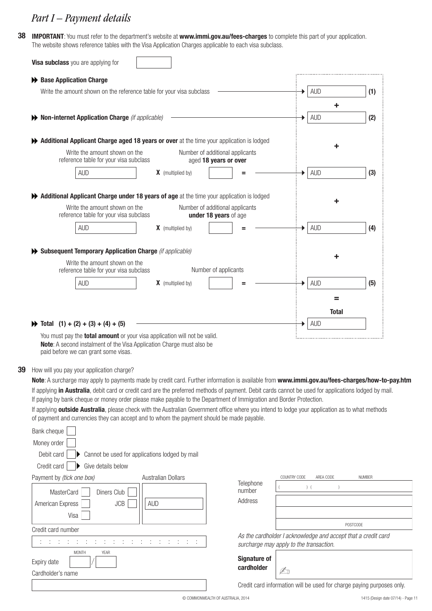## *Part I – Payment details*

**38 IMPORTANT**: You must refer to the department's website at **www.immi.gov.au/fees-charges** to complete this part of your application. The website shows reference tables with the Visa Application Charges applicable to each visa subclass.

| Visa subclass you are applying for                                                                                                                                                                                                                                           |                                                |                                                          |  |              |     |
|------------------------------------------------------------------------------------------------------------------------------------------------------------------------------------------------------------------------------------------------------------------------------|------------------------------------------------|----------------------------------------------------------|--|--------------|-----|
| ← Base Application Charge                                                                                                                                                                                                                                                    |                                                |                                                          |  |              |     |
| Write the amount shown on the reference table for your visa subclass                                                                                                                                                                                                         |                                                |                                                          |  | <b>AUD</b>   | (1) |
|                                                                                                                                                                                                                                                                              |                                                |                                                          |  | ٠            |     |
| Non-internet Application Charge (if applicable)                                                                                                                                                                                                                              |                                                |                                                          |  | <b>AUD</b>   | (2) |
| Additional Applicant Charge aged 18 years or over at the time your application is lodged                                                                                                                                                                                     |                                                |                                                          |  |              |     |
| Write the amount shown on the<br>reference table for your visa subclass                                                                                                                                                                                                      |                                                | Number of additional applicants<br>aged 18 years or over |  |              |     |
| <b>AUD</b>                                                                                                                                                                                                                                                                   | <b>X</b> (multiplied by)                       |                                                          |  | <b>AUD</b>   | (3) |
|                                                                                                                                                                                                                                                                              |                                                |                                                          |  |              |     |
| Additional Applicant Charge under 18 years of age at the time your application is lodged                                                                                                                                                                                     |                                                |                                                          |  |              |     |
| Write the amount shown on the<br>reference table for your visa subclass                                                                                                                                                                                                      |                                                | Number of additional applicants<br>under 18 years of age |  |              |     |
| <b>AUD</b>                                                                                                                                                                                                                                                                   | <b>X</b> (multiplied by)                       |                                                          |  | <b>AUD</b>   | (4) |
|                                                                                                                                                                                                                                                                              |                                                |                                                          |  |              |     |
| Subsequent Temporary Application Charge (if applicable)                                                                                                                                                                                                                      |                                                |                                                          |  |              |     |
| Write the amount shown on the                                                                                                                                                                                                                                                |                                                |                                                          |  |              |     |
| reference table for your visa subclass                                                                                                                                                                                                                                       |                                                | Number of applicants                                     |  |              |     |
| <b>AUD</b>                                                                                                                                                                                                                                                                   | <b>X</b> (multiplied by)                       |                                                          |  | <b>AUD</b>   | (5) |
|                                                                                                                                                                                                                                                                              |                                                |                                                          |  | =            |     |
|                                                                                                                                                                                                                                                                              |                                                |                                                          |  | <b>Total</b> |     |
| $\rightarrow$ Total (1) + (2) + (3) + (4) + (5)                                                                                                                                                                                                                              |                                                |                                                          |  | <b>AUD</b>   |     |
| You must pay the <b>total amount</b> or your visa application will not be valid.<br>Note: A second instalment of the Visa Application Charge must also be<br>paid before we can grant some visas.                                                                            |                                                |                                                          |  |              |     |
|                                                                                                                                                                                                                                                                              |                                                |                                                          |  |              |     |
| How will you pay your application charge?                                                                                                                                                                                                                                    |                                                |                                                          |  |              |     |
| Note: A surcharge may apply to payments made by credit card. Further information is available from www.immi.gov.au/fees-charges/how-to-pay.htm                                                                                                                               |                                                |                                                          |  |              |     |
| If applying in Australia, debit card or credit card are the preferred methods of payment. Debit cards cannot be used for applications lodged by mail.<br>If paying by bank cheque or money order please make payable to the Department of Immigration and Border Protection. |                                                |                                                          |  |              |     |
| If applying <b>outside Australia</b> , please check with the Australian Government office where you intend to lodge your application as to what methods                                                                                                                      |                                                |                                                          |  |              |     |
| of payment and currencies they can accept and to whom the payment should be made payable.                                                                                                                                                                                    |                                                |                                                          |  |              |     |
| Bank cheque                                                                                                                                                                                                                                                                  |                                                |                                                          |  |              |     |
| Money order                                                                                                                                                                                                                                                                  |                                                |                                                          |  |              |     |
| Debit card                                                                                                                                                                                                                                                                   | Cannot be used for applications lodged by mail |                                                          |  |              |     |
| Credit card<br>Give details below                                                                                                                                                                                                                                            |                                                |                                                          |  |              |     |

**MasterCard** American Express Visa Diners Club JCB Payment by *(tick one box)* Australian Dollars AUD Credit card number : : : : MONTH : : : : : : : : : : : : : : YEAR Expiry date Cardholder's name

**39**

| Address                                                                                                  |                 |  |  |
|----------------------------------------------------------------------------------------------------------|-----------------|--|--|
|                                                                                                          | <b>POSTCODE</b> |  |  |
| As the cardholder I acknowledge and accept that a credit card<br>surcharge may apply to the transaction. |                 |  |  |
| <b>Signature of</b>                                                                                      |                 |  |  |

COUNTRY CODE AREA CODE NUMBER

Credit card information will be used for charge paying purposes only.

Telephone

number ( ) ( )

 $\mathbb{Z}_1$ 

**cardholder**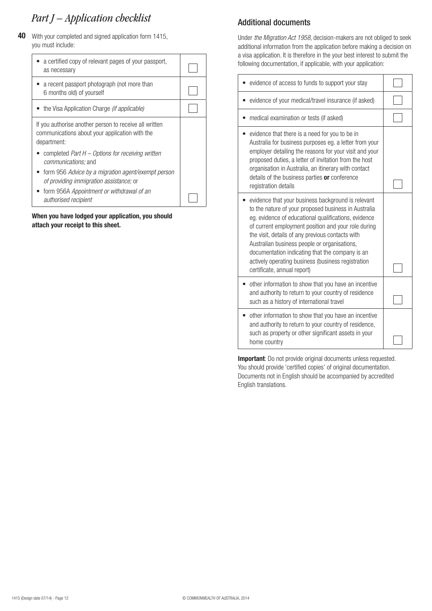# *Part J – Application checklist*

**40** With your completed and signed application form 1415, you must include:

| a certified copy of relevant pages of your passport,<br>as necessary                                                                                                                |  |
|-------------------------------------------------------------------------------------------------------------------------------------------------------------------------------------|--|
| a recent passport photograph (not more than<br>6 months old) of yourself                                                                                                            |  |
| • the Visa Application Charge <i>(if applicable)</i>                                                                                                                                |  |
| If you authorise another person to receive all written<br>communications about your application with the<br>department:                                                             |  |
| completed Part $H -$ Options for receiving written<br><i>communications;</i> and<br>• form 956 Advice by a migration agent/exempt person<br>of providing immigration assistance; or |  |
| • form 956A Appointment or withdrawal of an<br>authorised recipient                                                                                                                 |  |

**When you have lodged your application, you should attach your receipt to this sheet.**

## Additional documents

Under *the Migration Act 1958*, decision-makers are not obliged to seek additional information from the application before making a decision on a visa application. It is therefore in the your best interest to submit the following documentation, if applicable, with your application:

| evidence of access to funds to support your stay                                                                                                                                                                                                                                                                                                                                                                                                                      |  |
|-----------------------------------------------------------------------------------------------------------------------------------------------------------------------------------------------------------------------------------------------------------------------------------------------------------------------------------------------------------------------------------------------------------------------------------------------------------------------|--|
| evidence of your medical/travel insurance (if asked)                                                                                                                                                                                                                                                                                                                                                                                                                  |  |
| medical examination or tests (if asked)                                                                                                                                                                                                                                                                                                                                                                                                                               |  |
| evidence that there is a need for you to be in<br>Australia for business purposes eg. a letter from your<br>employer detailing the reasons for your visit and your<br>proposed duties, a letter of invitation from the host<br>organisation in Australia, an itinerary with contact<br>details of the business parties or conference<br>registration details                                                                                                          |  |
| evidence that your business background is relevant<br>to the nature of your proposed business in Australia<br>eg. evidence of educational qualifications, evidence<br>of current employment position and your role during<br>the visit, details of any previous contacts with<br>Australian business people or organisations,<br>documentation indicating that the company is an<br>actively operating business (business registration<br>certificate, annual report) |  |
| other information to show that you have an incentive<br>and authority to return to your country of residence<br>such as a history of international travel                                                                                                                                                                                                                                                                                                             |  |
| other information to show that you have an incentive<br>and authority to return to your country of residence,<br>such as property or other significant assets in your<br>home country                                                                                                                                                                                                                                                                                 |  |

**Important**: Do not provide original documents unless requested. You should provide 'certified copies' of original documentation. Documents not in English should be accompanied by accredited English translations.